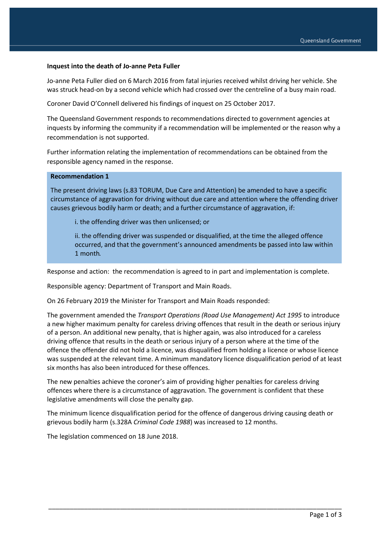## **Inquest into the death of Jo-anne Peta Fuller**

Jo-anne Peta Fuller died on 6 March 2016 from fatal injuries received whilst driving her vehicle. She was struck head-on by a second vehicle which had crossed over the centreline of a busy main road.

Coroner David O'Connell delivered his findings of inquest on 25 October 2017.

The Queensland Government responds to recommendations directed to government agencies at inquests by informing the community if a recommendation will be implemented or the reason why a recommendation is not supported.

Further information relating the implementation of recommendations can be obtained from the responsible agency named in the response.

## **Recommendation 1**

The present driving laws (s.83 TORUM, Due Care and Attention) be amended to have a specific circumstance of aggravation for driving without due care and attention where the offending driver causes grievous bodily harm or death; and a further circumstance of aggravation, if:

i. the offending driver was then unlicensed; or

ii. the offending driver was suspended or disqualified, at the time the alleged offence occurred, and that the government's announced amendments be passed into law within 1 month.

Response and action: the recommendation is agreed to in part and implementation is complete.

Responsible agency: Department of Transport and Main Roads.

On 26 February 2019 the Minister for Transport and Main Roads responded:

The government amended the *Transport Operations (Road Use Management) Act 1995* to introduce a new higher maximum penalty for careless driving offences that result in the death or serious injury of a person. An additional new penalty, that is higher again, was also introduced for a careless driving offence that results in the death or serious injury of a person where at the time of the offence the offender did not hold a licence, was disqualified from holding a licence or whose licence was suspended at the relevant time. A minimum mandatory licence disqualification period of at least six months has also been introduced for these offences.

The new penalties achieve the coroner's aim of providing higher penalties for careless driving offences where there is a circumstance of aggravation. The government is confident that these legislative amendments will close the penalty gap.

The minimum licence disqualification period for the offence of dangerous driving causing death or grievous bodily harm (s.328A *Criminal Code 1988*) was increased to 12 months.

\_\_\_\_\_\_\_\_\_\_\_\_\_\_\_\_\_\_\_\_\_\_\_\_\_\_\_\_\_\_\_\_\_\_\_\_\_\_\_\_\_\_\_\_\_\_\_\_\_\_\_\_\_\_\_\_\_\_\_\_\_\_\_\_\_\_\_\_\_\_\_\_\_\_\_\_\_\_\_\_\_\_

The legislation commenced on 18 June 2018.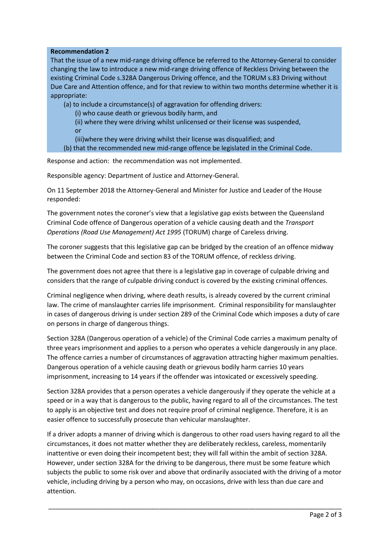## **Recommendation 2**

That the issue of a new mid-range driving offence be referred to the Attorney-General to consider changing the law to introduce a new mid-range driving offence of Reckless Driving between the existing Criminal Code s.328A Dangerous Driving offence, and the TORUM s.83 Driving without Due Care and Attention offence, and for that review to within two months determine whether it is appropriate:

(a) to include a circumstance(s) of aggravation for offending drivers:

(i) who cause death or grievous bodily harm, and

 (ii) where they were driving whilst unlicensed or their license was suspended, or

(iii)where they were driving whilst their license was disqualified; and

(b) that the recommended new mid-range offence be legislated in the Criminal Code.

Response and action: the recommendation was not implemented.

Responsible agency: Department of Justice and Attorney-General.

On 11 September 2018 the Attorney-General and Minister for Justice and Leader of the House responded:

The government notes the coroner's view that a legislative gap exists between the Queensland Criminal Code offence of Dangerous operation of a vehicle causing death and the *Transport Operations (Road Use Management) Act 1995* (TORUM) charge of Careless driving.

The coroner suggests that this legislative gap can be bridged by the creation of an offence midway between the Criminal Code and section 83 of the TORUM offence, of reckless driving.

The government does not agree that there is a legislative gap in coverage of culpable driving and considers that the range of culpable driving conduct is covered by the existing criminal offences.

Criminal negligence when driving, where death results, is already covered by the current criminal law. The crime of manslaughter carries life imprisonment. Criminal responsibility for manslaughter in cases of dangerous driving is under section 289 of the Criminal Code which imposes a duty of care on persons in charge of dangerous things.

Section 328A (Dangerous operation of a vehicle) of the Criminal Code carries a maximum penalty of three years imprisonment and applies to a person who operates a vehicle dangerously in any place. The offence carries a number of circumstances of aggravation attracting higher maximum penalties. Dangerous operation of a vehicle causing death or grievous bodily harm carries 10 years imprisonment, increasing to 14 years if the offender was intoxicated or excessively speeding.

Section 328A provides that a person operates a vehicle dangerously if they operate the vehicle at a speed or in a way that is dangerous to the public, having regard to all of the circumstances. The test to apply is an objective test and does not require proof of criminal negligence. Therefore, it is an easier offence to successfully prosecute than vehicular manslaughter.

If a driver adopts a manner of driving which is dangerous to other road users having regard to all the circumstances, it does not matter whether they are deliberately reckless, careless, momentarily inattentive or even doing their incompetent best; they will fall within the ambit of section 328A. However, under section 328A for the driving to be dangerous, there must be some feature which subjects the public to some risk over and above that ordinarily associated with the driving of a motor vehicle, including driving by a person who may, on occasions, drive with less than due care and attention.

\_\_\_\_\_\_\_\_\_\_\_\_\_\_\_\_\_\_\_\_\_\_\_\_\_\_\_\_\_\_\_\_\_\_\_\_\_\_\_\_\_\_\_\_\_\_\_\_\_\_\_\_\_\_\_\_\_\_\_\_\_\_\_\_\_\_\_\_\_\_\_\_\_\_\_\_\_\_\_\_\_\_